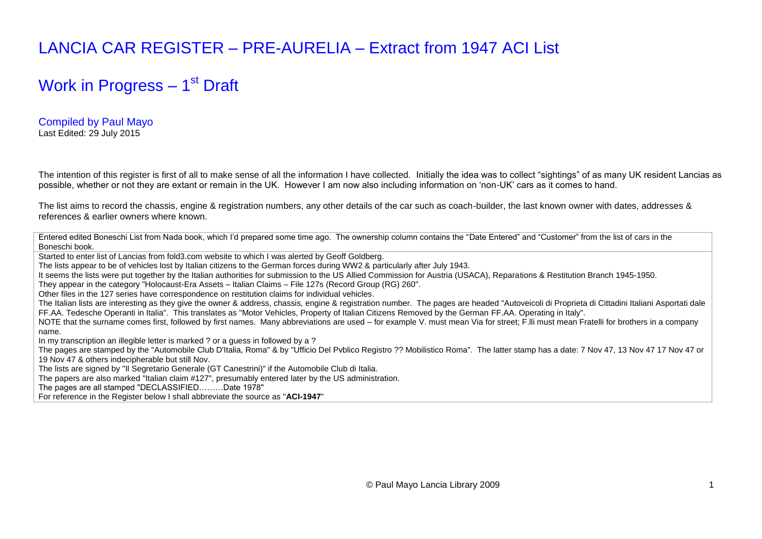## LANCIA CAR REGISTER – PRE-AURELIA – Extract from 1947 ACI List

## Work in Progress – 1<sup>st</sup> Draft

Compiled by Paul Mayo Last Edited: 29 July 2015

The intention of this register is first of all to make sense of all the information I have collected. Initially the idea was to collect "sightings" of as many UK resident Lancias as possible, whether or not they are extant or remain in the UK. However I am now also including information on "non-UK" cars as it comes to hand.

The list aims to record the chassis, engine & registration numbers, any other details of the car such as coach-builder, the last known owner with dates, addresses & references & earlier owners where known.

Entered edited Boneschi List from Nada book, which I'd prepared some time ago. The ownership column contains the "Date Entered" and "Customer" from the list of cars in the Boneschi book.

Started to enter list of Lancias from fold3.com website to which I was alerted by Geoff Goldberg.

The lists appear to be of vehicles lost by Italian citizens to the German forces during WW2 & particularly after July 1943.

It seems the lists were put together by the Italian authorities for submission to the US Allied Commission for Austria (USACA), Reparations & Restitution Branch 1945-1950.

They appear in the category "Holocaust-Era Assets – Italian Claims – File 127s (Record Group (RG) 260".

Other files in the 127 series have correspondence on restitution claims for individual vehicles.

The Italian lists are interesting as they give the owner & address, chassis, engine & registration number. The pages are headed "Autoveicoli di Proprieta di Cittadini Italiani Asportati dale FF.AA. Tedesche Operanti in Italia". This translates as "Motor Vehicles, Property of Italian Citizens Removed by the German FF.AA. Operating in Italy".

NOTE that the surname comes first, followed by first names. Many abbreviations are used – for example V. must mean Via for street; F. Ili must mean Fratelli for brothers in a company name.

In my transcription an illegible letter is marked ? or a guess in followed by a ?

The pages are stamped by the "Automobile Club D'Italia, Roma" & by "Ufficio Del Pvblico Registro ?? Mobilistico Roma". The latter stamp has a date: 7 Nov 47, 13 Nov 47 17 Nov 47 or 19 Nov 47 & others indecipherable but still Nov.

The lists are signed by "Il Segretario Generale (GT Canestrini)" if the Automobile Club di Italia.

The papers are also marked "Italian claim #127", presumably entered later by the US administration.

The pages are all stamped "DECLASSIFIED………Date 1978"

For reference in the Register below I shall abbreviate the source as "**ACI-1947**"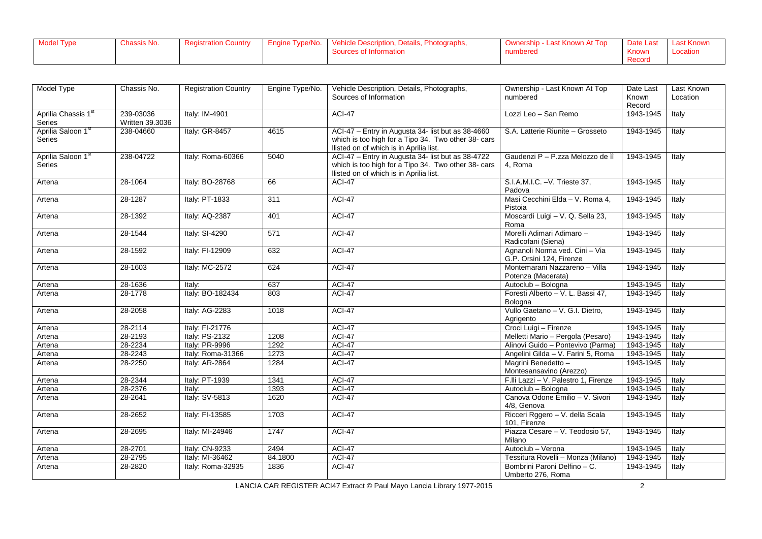| <b>Model Type</b> | Chassis No. | Registration Country | Engine Type/No. | Vehicle Description, Details,<br>Photographs, | <b>Last Known At Top</b><br>⊃ Uwnership | Date Last             | <b>Last Known</b> |
|-------------------|-------------|----------------------|-----------------|-----------------------------------------------|-----------------------------------------|-----------------------|-------------------|
|                   |             |                      |                 | Sources of Information                        | numbered                                | <b>Known</b>          | ∟ocation          |
|                   |             |                      |                 |                                               |                                         | <b>Doon</b><br>Record |                   |

| Model Type          | Chassis No.     | <b>Registration Country</b> | Engine Type/No. | Vehicle Description, Details, Photographs,          | Ownership - Last Known At Top        | Date Last | Last Known |
|---------------------|-----------------|-----------------------------|-----------------|-----------------------------------------------------|--------------------------------------|-----------|------------|
|                     |                 |                             |                 | Sources of Information                              | numbered                             | Known     | Location   |
|                     |                 |                             |                 |                                                     |                                      | Record    |            |
| Aprilia Chassis 1st | 239-03036       | Italy: IM-4901              |                 | <b>ACI-47</b>                                       | Lozzi Leo - San Remo                 | 1943-1945 | Italy      |
| Series              | Written 39.3036 |                             |                 |                                                     |                                      |           |            |
| Aprilia Saloon 1st  | 238-04660       | Italy: GR-8457              | 4615            | ACI-47 - Entry in Augusta 34- list but as 38-4660   | S.A. Latterie Riunite - Grosseto     | 1943-1945 | Italy      |
| Series              |                 |                             |                 | which is too high for a Tipo 34. Two other 38- cars |                                      |           |            |
|                     |                 |                             |                 | Ilisted on of which is in Aprilia list.             |                                      |           |            |
| Aprilia Saloon 1st  | 238-04722       | Italy: Roma-60366           | 5040            | ACI-47 - Entry in Augusta 34- list but as 38-4722   | Gaudenzi P - P.zza Melozzo de iì     | 1943-1945 | Italy      |
| <b>Series</b>       |                 |                             |                 | which is too high for a Tipo 34. Two other 38- cars | 4. Roma                              |           |            |
|                     |                 |                             |                 | Ilisted on of which is in Aprilia list.             |                                      |           |            |
| Artena              | 28-1064         | Italy: BO-28768             | 66              | <b>ACI-47</b>                                       | S.I.A.M.I.C. - V. Trieste 37,        | 1943-1945 | Italy      |
|                     |                 |                             |                 |                                                     | Padova                               |           |            |
| Artena              | 28-1287         | Italy: PT-1833              | 311             | <b>ACI-47</b>                                       | Masi Cecchini Elda - V. Roma 4.      | 1943-1945 | Italy      |
|                     |                 |                             |                 |                                                     | Pistoia                              |           |            |
| Artena              | 28-1392         | Italy: AQ-2387              | 401             | <b>ACI-47</b>                                       | Moscardi Luigi - V. Q. Sella 23,     | 1943-1945 | Italy      |
|                     |                 |                             |                 |                                                     | Roma                                 |           |            |
| Artena              | 28-1544         | Italy: SI-4290              | 571             | <b>ACI-47</b>                                       | Morelli Adimari Adimaro -            | 1943-1945 | Italy      |
|                     |                 |                             |                 |                                                     | Radicofani (Siena)                   |           |            |
| Artena              | 28-1592         | Italy: FI-12909             | 632             | <b>ACI-47</b>                                       | Agnanoli Norma ved. Cini - Via       | 1943-1945 | Italy      |
|                     |                 |                             |                 |                                                     | G.P. Orsini 124, Firenze             |           |            |
| Artena              | 28-1603         | Italy: MC-2572              | 624             | <b>ACI-47</b>                                       | Montemarani Nazzareno - Villa        | 1943-1945 | Italy      |
|                     |                 |                             |                 |                                                     | Potenza (Macerata)                   |           |            |
| Artena              | 28-1636         | Italy:                      | 637             | <b>ACI-47</b>                                       | Autoclub - Bologna                   | 1943-1945 | Italy      |
| Artena              | 28-1778         | Italy: BO-182434            | 803             | <b>ACI-47</b>                                       | Foresti Alberto - V. L. Bassi 47,    | 1943-1945 | Italy      |
|                     |                 |                             |                 |                                                     | Bologna                              |           |            |
| Artena              | 28-2058         | Italy: AG-2283              | 1018            | $ACI-47$                                            | Vullo Gaetano - V. G.I. Dietro,      | 1943-1945 | Italy      |
|                     |                 |                             |                 |                                                     | Agrigento                            |           |            |
| Artena              | 28-2114         | Italy: FI-21776             |                 | <b>ACI-47</b>                                       | Croci Luigi - Firenze                | 1943-1945 | Italy      |
| Artena              | 28-2193         | Italy: PS-2132              | 1208            | <b>ACI-47</b>                                       | Melletti Mario - Pergola (Pesaro)    | 1943-1945 | Italy      |
| Artena              | 28-2234         | Italy: PR-9996              | 1292            | <b>ACI-47</b>                                       | Alinovi Guido - Pontevivo (Parma)    | 1943-1945 | Italy      |
| Artena              | 28-2243         | Italy: Roma-31366           | 1273            | $ACI-47$                                            | Angelini Gilda - V. Farini 5, Roma   | 1943-1945 | Italy      |
| Artena              | 28-2250         | Italy: AR-2864              | 1284            | ACI-47                                              | Magrini Benedetto-                   | 1943-1945 | Italy      |
|                     |                 |                             |                 |                                                     | Montesansavino (Arezzo)              |           |            |
| Artena              | 28-2344         | Italy: PT-1939              | 1341            | <b>ACI-47</b>                                       | F.Ili Lazzi - V. Palestro 1, Firenze | 1943-1945 | Italy      |
| Artena              | 28-2376         | Italv:                      | 1393            | <b>ACI-47</b>                                       | Autoclub - Bologna                   | 1943-1945 | Italy      |
| Artena              | 28-2641         | Italy: SV-5813              | 1620            | <b>ACI-47</b>                                       | Canova Odone Emilio - V. Sivori      | 1943-1945 | Italy      |
|                     |                 |                             |                 |                                                     | 4/8, Genova                          |           |            |
| Artena              | 28-2652         | Italy: FI-13585             | 1703            | <b>ACI-47</b>                                       | Ricceri Rggero - V. della Scala      | 1943-1945 | Italy      |
|                     |                 |                             |                 |                                                     | 101, Firenze                         |           |            |
| Artena              | 28-2695         | Italy: MI-24946             | 1747            | $ACI-47$                                            | Piazza Cesare - V. Teodosio 57.      | 1943-1945 | Italy      |
|                     |                 |                             |                 |                                                     | Milano                               |           |            |
| Artena              | 28-2701         | Italy: CN-9233              | 2494            | <b>ACI-47</b>                                       | Autoclub - Verona                    | 1943-1945 | Italy      |
| Artena              | 28-2795         | Italv: MI-36462             | 84.1800         | <b>ACI-47</b>                                       | Tessitura Rovelli - Monza (Milano)   | 1943-1945 | Italy      |
| Artena              | 28-2820         | Italy: Roma-32935           | 1836            | <b>ACI-47</b>                                       | Bombrini Paroni Delfino - C.         | 1943-1945 | Italy      |
|                     |                 |                             |                 |                                                     | Umberto 276, Roma                    |           |            |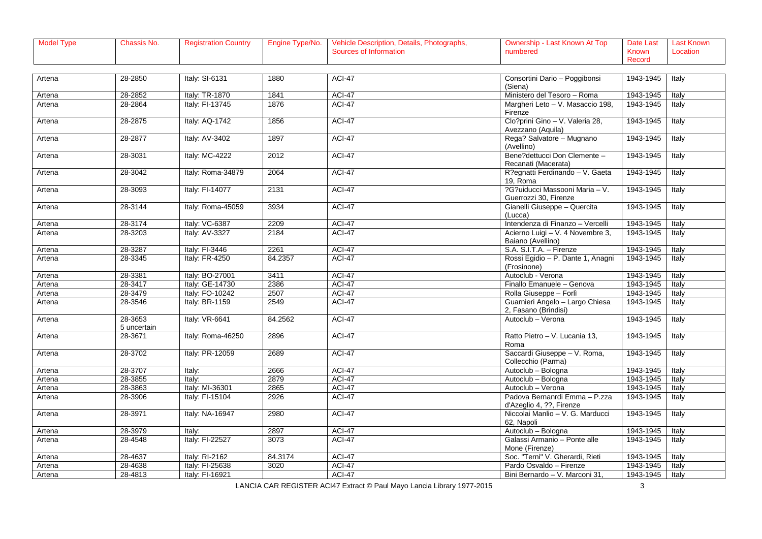| Model Type | lassis No. | registration Country | Engine Type/No. | Photographs,<br>Vehicle Description,<br>Details, F | i≅ - Last Known Au<br>Top<br>Ownership | Date Last | <b>Last Known</b> |
|------------|------------|----------------------|-----------------|----------------------------------------------------|----------------------------------------|-----------|-------------------|
|            |            |                      |                 | urces of Informatior                               | numbered                               | Known     | Locatior          |
|            |            |                      |                 |                                                    |                                        | Record    |                   |

| Artena | 28-2850                | Italy: SI-6131    | 1880    | <b>ACI-47</b> | Consortini Dario - Poggibonsi<br>(Siena)                  | 1943-1945 | Italy |
|--------|------------------------|-------------------|---------|---------------|-----------------------------------------------------------|-----------|-------|
| Artena | 28-2852                | Italy: TR-1870    | 1841    | <b>ACI-47</b> | Ministero del Tesoro - Roma                               | 1943-1945 | Italy |
| Artena | 28-2864                | Italy: FI-13745   | 1876    | ACI-47        | Margheri Leto - V. Masaccio 198,<br>Firenze               | 1943-1945 | Italy |
| Artena | 28-2875                | Italy: AQ-1742    | 1856    | <b>ACI-47</b> | Clo?prini Gino - V. Valeria 28,<br>Avezzano (Aquila)      | 1943-1945 | Italy |
| Artena | 28-2877                | Italy: AV-3402    | 1897    | <b>ACI-47</b> | Rega? Salvatore - Mugnano<br>(Avellino)                   | 1943-1945 | Italy |
| Artena | 28-3031                | Italy: MC-4222    | 2012    | <b>ACI-47</b> | Bene?dettucci Don Clemente -<br>Recanati (Macerata)       | 1943-1945 | Italy |
| Artena | 28-3042                | Italy: Roma-34879 | 2064    | <b>ACI-47</b> | R?egnatti Ferdinando - V. Gaeta<br>19. Roma               | 1943-1945 | Italy |
| Artena | 28-3093                | Italy: FI-14077   | 2131    | <b>ACI-47</b> | ?G?uiducci Massooni Maria - V.<br>Guerrozzi 30, Firenze   | 1943-1945 | Italy |
| Artena | 28-3144                | Italy: Roma-45059 | 3934    | ACI-47        | Gianelli Giuseppe - Quercita<br>(Lucca)                   | 1943-1945 | Italy |
| Artena | 28-3174                | Italy: VC-6387    | 2209    | ACI-47        | Intendenza di Finanzo - Vercelli                          | 1943-1945 | Italy |
| Artena | 28-3203                | Italy: AV-3327    | 2184    | <b>ACI-47</b> | Acierno Luigi - V. 4 Novembre 3,<br>Baiano (Avellino)     | 1943-1945 | Italy |
| Artena | 28-3287                | Italy: FI-3446    | 2261    | ACI-47        | S.A. S.I.T.A. - Firenze                                   | 1943-1945 | Italy |
| Artena | 28-3345                | Italy: FR-4250    | 84.2357 | <b>ACI-47</b> | Rossi Egidio - P. Dante 1, Anagni<br>(Frosinone)          | 1943-1945 | Italy |
| Artena | 28-3381                | Italy: BO-27001   | 3411    | <b>ACI-47</b> | Autoclub - Verona                                         | 1943-1945 | Italy |
| Artena | 28-3417                | Italy: GE-14730   | 2386    | <b>ACI-47</b> | Finallo Emanuele - Genova                                 | 1943-1945 | Italy |
| Artena | 28-3479                | Italy: FO-10242   | 2507    | ACI-47        | Rolla Giuseppe - Forlì                                    | 1943-1945 | Italy |
| Artena | 28-3546                | Italy: BR-1159    | 2549    | <b>ACI-47</b> | Guarnieri Angelo - Largo Chiesa<br>2, Fasano (Brindisi)   | 1943-1945 | Italy |
| Artena | 28-3653<br>5 uncertain | Italy: VR-6641    | 84.2562 | <b>ACI-47</b> | Autoclub - Verona                                         | 1943-1945 | Italy |
| Artena | 28-3671                | Italy: Roma-46250 | 2896    | <b>ACI-47</b> | Ratto Pietro - V. Lucania 13,<br>Roma                     | 1943-1945 | Italy |
| Artena | 28-3702                | Italy: PR-12059   | 2689    | <b>ACI-47</b> | Saccardi Giuseppe - V. Roma,<br>Collecchio (Parma)        | 1943-1945 | Italy |
| Artena | 28-3707                | Italy:            | 2666    | <b>ACI-47</b> | Autoclub - Bologna                                        | 1943-1945 | Italy |
| Artena | 28-3855                | Italy:            | 2879    | <b>ACI-47</b> | Autoclub - Bologna                                        | 1943-1945 | Italy |
| Artena | 28-3863                | Italy: MI-36301   | 2865    | <b>ACI-47</b> | Autoclub - Verona                                         | 1943-1945 | Italy |
| Artena | 28-3906                | Italy: FI-15104   | 2926    | <b>ACI-47</b> | Padova Bernanrdi Emma - P.zza<br>d'Azeglio 4, ??, Firenze | 1943-1945 | Italy |
| Artena | 28-3971                | Italy: NA-16947   | 2980    | <b>ACI-47</b> | Niccolai Manlio - V. G. Marducci<br>62, Napoli            | 1943-1945 | Italy |
| Artena | 28-3979                | Italv:            | 2897    | <b>ACI-47</b> | Autoclub - Bologna                                        | 1943-1945 | Italy |
| Artena | 28-4548                | Italy: FI-22527   | 3073    | <b>ACI-47</b> | Galassi Armanio - Ponte alle<br>Mone (Firenze)            | 1943-1945 | Italy |
| Artena | 28-4637                | Italy: RI-2162    | 84.3174 | ACI-47        | Soc. "Terni" V. Gherardi, Rieti                           | 1943-1945 | Italy |
| Artena | 28-4638                | Italy: FI-25638   | 3020    | ACI-47        | Pardo Osvaldo - Firenze                                   | 1943-1945 | Italy |
| Artena | 28-4813                | Italy: FI-16921   |         | <b>ACI-47</b> | Bini Bernardo - V. Marconi 31,                            | 1943-1945 | Italy |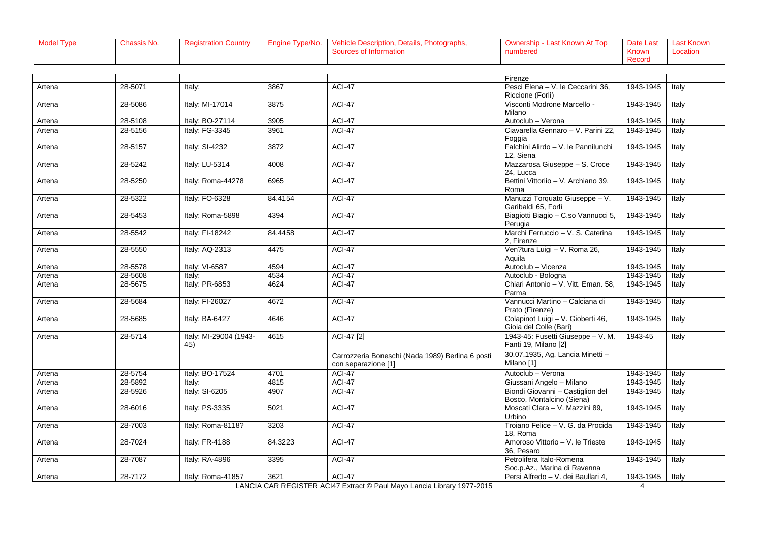| Model Type | Chassis No. | <b>Registration Country</b> | Type/No.<br>Engine | Photographs,<br><b>Vehicle Descrip</b><br>Details, h<br>ption | Last Known Aւ<br>Top | Date Last | Last Known |
|------------|-------------|-----------------------------|--------------------|---------------------------------------------------------------|----------------------|-----------|------------|
|            |             |                             |                    | urces of Informatior                                          | numbered             | Known     | Locatior   |
|            |             |                             |                    |                                                               |                      | Record    |            |

|        |         |                        |         |                                                  | Firenze                                 |                        |       |
|--------|---------|------------------------|---------|--------------------------------------------------|-----------------------------------------|------------------------|-------|
| Artena | 28-5071 | Italy:                 | 3867    | <b>ACI-47</b>                                    | Pesci Elena - V. le Ceccarini 36,       | 1943-1945              | Italy |
|        |         |                        |         |                                                  | Riccione (Forlì)                        |                        |       |
| Artena | 28-5086 | Italy: MI-17014        | 3875    | <b>ACI-47</b>                                    | Visconti Modrone Marcello -             | 1943-1945              | Italy |
|        |         |                        |         |                                                  | Milano                                  |                        |       |
| Artena | 28-5108 | Italy: BO-27114        | 3905    | <b>ACI-47</b>                                    | Autoclub - Verona                       | 1943-1945              | Italy |
| Artena | 28-5156 | Italy: FG-3345         | 3961    | <b>ACI-47</b>                                    | Ciavarella Gennaro - V. Parini 22,      | 1943-1945              | Italy |
|        |         |                        |         |                                                  | Foggia                                  |                        |       |
| Artena | 28-5157 | Italy: SI-4232         | 3872    | <b>ACI-47</b>                                    | Falchini Alirdo - V. le Pannilunchi     | 1943-1945              | Italy |
|        |         |                        |         |                                                  | 12, Siena                               |                        |       |
| Artena | 28-5242 | Italy: LU-5314         | 4008    | <b>ACI-47</b>                                    | Mazzarosa Giuseppe - S. Croce           | 1943-1945              | Italy |
|        |         |                        |         |                                                  | 24, Lucca                               |                        |       |
| Artena | 28-5250 | Italy: Roma-44278      | 6965    | <b>ACI-47</b>                                    | Bettini Vittoriio - V. Archiano 39,     | 1943-1945              | Italy |
|        |         |                        |         |                                                  | Roma                                    |                        |       |
| Artena | 28-5322 | Italy: FO-6328         | 84.4154 | <b>ACI-47</b>                                    | Manuzzi Torquato Giuseppe - V.          | 1943-1945              | Italy |
|        |         |                        |         |                                                  | Garibaldi 65, Forlì                     |                        |       |
| Artena | 28-5453 | Italy: Roma-5898       | 4394    | <b>ACI-47</b>                                    | Biagiotti Biagio - C.so Vannucci 5,     | 1943-1945              | Italy |
|        |         |                        |         |                                                  | Perugia                                 |                        |       |
| Artena | 28-5542 | Italy: FI-18242        | 84.4458 | <b>ACI-47</b>                                    | Marchi Ferruccio - V. S. Caterina       | 1943-1945              | Italy |
|        |         |                        |         |                                                  | 2, Firenze                              |                        |       |
| Artena | 28-5550 | Italy: AQ-2313         | 4475    | <b>ACI-47</b>                                    | Ven?tura Luigi - V. Roma 26,            | 1943-1945              | Italy |
|        |         |                        |         |                                                  | Aguila                                  |                        |       |
| Artena | 28-5578 | Italy: VI-6587         | 4594    | ACI-47<br><b>ACI-47</b>                          | Autoclub - Vicenza                      | 1943-1945<br>1943-1945 | Italy |
| Artena | 28-5608 | Italv:                 | 4534    |                                                  | Autoclub - Bologna                      |                        | Italy |
| Artena | 28-5675 | Italy: PR-6853         | 4624    | <b>ACI-47</b>                                    | Chiari Antonio - V. Vitt. Eman. 58,     | 1943-1945              | Italy |
|        | 28-5684 | Italy: FI-26027        | 4672    | <b>ACI-47</b>                                    | Parma<br>Vannucci Martino - Calciana di | 1943-1945              |       |
| Artena |         |                        |         |                                                  | Prato (Firenze)                         |                        | Italy |
|        | 28-5685 | Italy: BA-6427         | 4646    | ACI-47                                           | Colapinot Luigi - V. Gioberti 46,       | 1943-1945              | Italy |
| Artena |         |                        |         |                                                  | Gioia del Colle (Bari)                  |                        |       |
|        |         | Italy: MI-29004 (1943- |         |                                                  | 1943-45: Fusetti Giuseppe - V. M.       |                        |       |
| Artena | 28-5714 | 45)                    | 4615    | ACI-47 [2]                                       | Fanti 19, Milano [2]                    | 1943-45                | Italy |
|        |         |                        |         |                                                  |                                         |                        |       |
|        |         |                        |         | Carrozzeria Boneschi (Nada 1989) Berlina 6 posti | 30.07.1935, Ag. Lancia Minetti -        |                        |       |
|        |         |                        |         | con separazione [1]                              | Milano [1]                              |                        |       |
| Artena | 28-5754 | Italy: BO-17524        | 4701    | <b>ACI-47</b>                                    | Autoclub - Verona                       | 1943-1945              | Italy |
| Artena | 28-5892 | Italv:                 | 4815    | <b>ACI-47</b>                                    | Giussani Angelo - Milano                | 1943-1945              | Italy |
| Artena | 28-5926 | Italy: SI-6205         | 4907    | <b>ACI-47</b>                                    | Biondi Giovanni - Castiglion del        | 1943-1945              | Italy |
|        |         |                        |         |                                                  | Bosco, Montalcino (Siena)               |                        |       |
| Artena | 28-6016 | Italy: PS-3335         | 5021    | <b>ACI-47</b>                                    | Moscati Clara - V. Mazzini 89,          | 1943-1945              | Italy |
|        |         |                        |         |                                                  | Urbino                                  |                        |       |
| Artena | 28-7003 | Italy: Roma-8118?      | 3203    | <b>ACI-47</b>                                    | Troiano Felice - V. G. da Procida       | 1943-1945              | Italy |
|        |         |                        |         |                                                  | 18. Roma                                |                        |       |
| Artena | 28-7024 | Italy: FR-4188         | 84.3223 | ACI-47                                           | Amoroso Vittorio - V. le Trieste        | 1943-1945              | Italy |
|        |         |                        |         |                                                  | 36. Pesaro                              |                        |       |
| Artena | 28-7087 | Italy: RA-4896         | 3395    | <b>ACI-47</b>                                    | Petrolifera Italo-Romena                | 1943-1945              | Italy |
|        |         |                        |         |                                                  | Soc.p.Az., Marina di Ravenna            |                        |       |
| Artena | 28-7172 | Italy: Roma-41857      | 3621    | <b>ACI-47</b>                                    | Persi Alfredo - V. dei Baullari 4,      | 1943-1945              | Italy |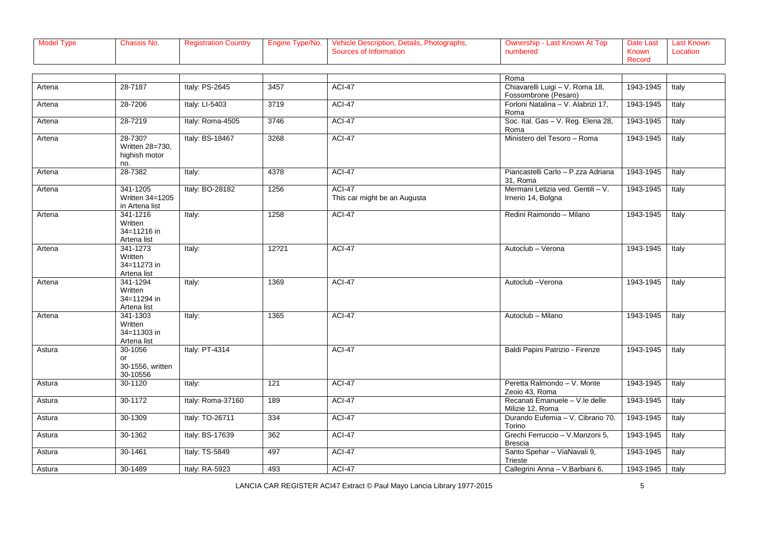| Model Type | lassis No. | registration Country | Engine Type/No. | Photographs,<br>Vehicle Description,<br>Details, F | i≅ - Last Known Au<br>Top<br>Ownership | Date Last | <b>Last Known</b> |
|------------|------------|----------------------|-----------------|----------------------------------------------------|----------------------------------------|-----------|-------------------|
|            |            |                      |                 | urces of Informatior                               | numbered                               | Known     | Locatior          |
|            |            |                      |                 |                                                    |                                        | Record    |                   |

|        |                        |                   |                  |                              | Roma                               |           |       |
|--------|------------------------|-------------------|------------------|------------------------------|------------------------------------|-----------|-------|
| Artena | 28-7187                | Italy: PS-2645    | 3457             | $ACI-47$                     | Chiavarelli Luigi - V. Roma 18,    | 1943-1945 | Italy |
|        |                        |                   |                  |                              | Fossombrone (Pesaro)               |           |       |
| Artena | 28-7206                | Italy: LI-5403    | 3719             | <b>ACI-47</b>                | Forloni Natalina - V. Alabrizi 17, | 1943-1945 | Italy |
|        |                        |                   |                  |                              | Roma                               |           |       |
| Artena | 28-7219                | Italy: Roma-4505  | 3746             | ACI-47                       | Soc. Ital. Gas - V. Reg. Elena 28, | 1943-1945 | Italy |
|        |                        |                   |                  |                              | Roma                               |           |       |
| Artena | 28-730?                | Italy: BS-18467   | 3268             | <b>ACI-47</b>                | Ministero del Tesoro - Roma        | 1943-1945 | Italy |
|        | Written 28=730,        |                   |                  |                              |                                    |           |       |
|        | highish motor          |                   |                  |                              |                                    |           |       |
|        | no.                    |                   |                  |                              |                                    |           |       |
| Artena | 28-7382                | Italy:            | 4378             | <b>ACI-47</b>                | Piancastelli Carlo - P.zza Adriana | 1943-1945 | Italy |
|        |                        |                   |                  |                              | 31. Roma                           |           |       |
| Artena | 341-1205               | Italy: BO-28182   | 1256             | <b>ACI-47</b>                | Mermani Letizia ved. Gentili - V.  | 1943-1945 | Italy |
|        | Written 34=1205        |                   |                  | This car might be an Augusta | Irnerio 14, Bolgna                 |           |       |
|        | in Artena list         |                   |                  |                              |                                    |           |       |
| Artena | 341-1216               | Italy:            | 1258             | <b>ACI-47</b>                | Redini Raimondo - Milano           | 1943-1945 | Italy |
|        | Written                |                   |                  |                              |                                    |           |       |
|        | 34=11216 in            |                   |                  |                              |                                    |           |       |
|        | Artena list            |                   |                  |                              |                                    |           |       |
| Artena | 341-1273               | Italy:            | 12?21            | <b>ACI-47</b>                | Autoclub - Verona                  | 1943-1945 | Italy |
|        | Written<br>34=11273 in |                   |                  |                              |                                    |           |       |
|        | Artena list            |                   |                  |                              |                                    |           |       |
|        | 341-1294               | Italy:            | 1369             | <b>ACI-47</b>                | Autoclub -Verona                   | 1943-1945 | Italy |
| Artena | Written                |                   |                  |                              |                                    |           |       |
|        | 34=11294 in            |                   |                  |                              |                                    |           |       |
|        | Artena list            |                   |                  |                              |                                    |           |       |
| Artena | 341-1303               | Italy:            | 1365             | ACI-47                       | Autoclub - Milano                  | 1943-1945 | Italy |
|        | Written                |                   |                  |                              |                                    |           |       |
|        | 34=11303 in            |                   |                  |                              |                                    |           |       |
|        | Artena list            |                   |                  |                              |                                    |           |       |
| Astura | 30-1056                | Italy: PT-4314    |                  | ACI-47                       | Baldi Papini Patrizio - Firenze    | 1943-1945 | Italy |
|        | or                     |                   |                  |                              |                                    |           |       |
|        | 30-1556, written       |                   |                  |                              |                                    |           |       |
|        | 30-10556               |                   |                  |                              |                                    |           |       |
| Astura | 30-1120                | Italy:            | $\overline{121}$ | <b>ACI-47</b>                | Peretta Ralmondo - V. Monte        | 1943-1945 | Italy |
|        |                        |                   |                  |                              | Zeoio 43, Roma                     |           |       |
| Astura | 30-1172                | Italy: Roma-37160 | 189              | ACI-47                       | Recanati Emanuele - V.le delle     | 1943-1945 | Italy |
|        |                        |                   |                  |                              | Milizie 12, Roma                   |           |       |
| Astura | 30-1309                | Italy: TO-26711   | 334              | <b>ACI-47</b>                | Durando Eufemia - V. Cibrario 70.  | 1943-1945 | Italy |
|        |                        |                   |                  |                              | Torino                             |           |       |
| Astura | 30-1362                | Italy: BS-17639   | 362              | <b>ACI-47</b>                | Grechi Ferruccio - V.Manzoni 5,    | 1943-1945 | Italy |
|        |                        |                   |                  |                              | <b>Brescia</b>                     |           |       |
| Astura | 30-1461                | Italy: TS-5849    | 497              | <b>ACI-47</b>                | Santo Spehar - ViaNavali 9,        | 1943-1945 | Italy |
|        |                        |                   |                  |                              | Trieste                            |           |       |
| Astura | 30-1489                | Italy: RA-5923    | 493              | ACI-47                       | Callegrini Anna - V. Barbiani 6,   | 1943-1945 | Italy |
|        |                        |                   |                  |                              |                                    |           |       |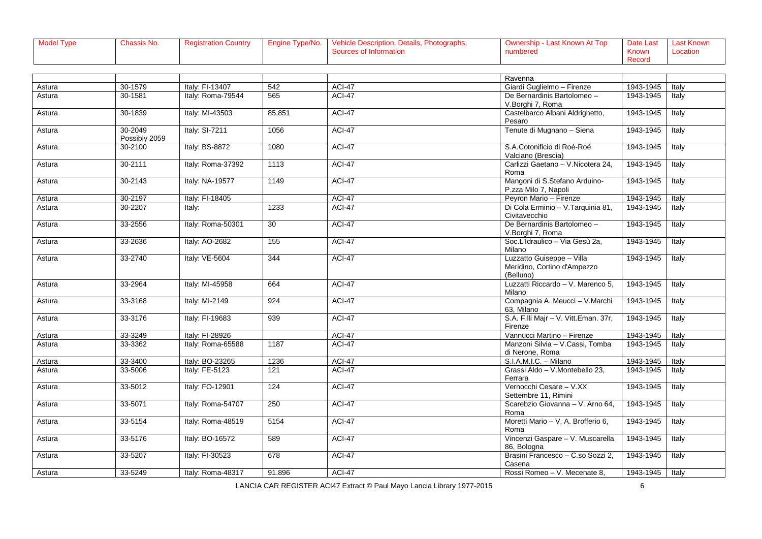| Model Type | Chassis No. | <b>Registration Country</b> | Type/No.<br>Engine | Photographs,<br><b>Vehicle Descrip</b><br>Details, h<br>ption | Last Known Aւ<br>Top | Date Last | Last Known |
|------------|-------------|-----------------------------|--------------------|---------------------------------------------------------------|----------------------|-----------|------------|
|            |             |                             |                    | urces of Informatior                                          | numbered             | Known     | Locatior   |
|            |             |                             |                    |                                                               |                      | Record    |            |

|        |                          |                   |                  |               | Ravenna                                                               |           |       |
|--------|--------------------------|-------------------|------------------|---------------|-----------------------------------------------------------------------|-----------|-------|
| Astura | 30-1579                  | Italv: FI-13407   | $\overline{542}$ | <b>ACI-47</b> | Giardi Guglielmo - Firenze                                            | 1943-1945 | Italy |
| Astura | 30-1581                  | Italy: Roma-79544 | 565              | <b>ACI-47</b> | De Bernardinis Bartolomeo -<br>V.Borghi 7, Roma                       | 1943-1945 | Italy |
| Astura | 30-1839                  | Italy: MI-43503   | 85.851           | <b>ACI-47</b> | Castelbarco Albani Aldrighetto,<br>Pesaro                             | 1943-1945 | Italy |
| Astura | 30-2049<br>Possibly 2059 | Italy: SI-7211    | 1056             | <b>ACI-47</b> | Tenute di Mugnano - Siena                                             | 1943-1945 | Italy |
| Astura | 30-2100                  | Italy: BS-8872    | 1080             | ACI-47        | S.A.Cotonificio di Roé-Roé<br>Valciano (Brescia)                      | 1943-1945 | Italy |
| Astura | 30-2111                  | Italy: Roma-37392 | 1113             | $ACI-47$      | Carlizzi Gaetano - V.Nicotera 24,<br>Roma                             | 1943-1945 | Italy |
| Astura | 30-2143                  | Italy: NA-19577   | 1149             | ACI-47        | Mangoni di S.Stefano Arduino-<br>P.zza Milo 7, Napoli                 | 1943-1945 | Italy |
| Astura | 30-2197                  | Italy: FI-18405   |                  | <b>ACI-47</b> | Peyron Mario - Firenze                                                | 1943-1945 | Italy |
| Astura | 30-2207                  | Italy:            | 1233             | <b>ACI-47</b> | Di Cola Erminio - V. Tarquinia 81,<br>Civitavecchio                   | 1943-1945 | Italy |
| Astura | 33-2556                  | Italy: Roma-50301 | 30               | ACI-47        | De Bernardinis Bartolomeo -<br>V.Borghi 7, Roma                       | 1943-1945 | Italy |
| Astura | 33-2636                  | Italy: AO-2682    | 155              | <b>ACI-47</b> | Soc.L'Idraulico - Via Gesù 2a,<br>Milano                              | 1943-1945 | Italy |
| Astura | 33-2740                  | Italy: VE-5604    | 344              | <b>ACI-47</b> | Luzzatto Guiseppe - Villa<br>Meridino, Cortino d'Ampezzo<br>(Belluno) | 1943-1945 | Italy |
| Astura | 33-2964                  | Italy: MI-45958   | 664              | <b>ACI-47</b> | Luzzatti Riccardo - V. Marenco 5,<br>Milano                           | 1943-1945 | Italy |
| Astura | 33-3168                  | Italy: MI-2149    | 924              | <b>ACI-47</b> | Compagnia A. Meucci - V. Marchi<br>63. Milano                         | 1943-1945 | Italy |
| Astura | 33-3176                  | Italy: FI-19683   | 939              | <b>ACI-47</b> | S.A. F.Ili Majr - V. Vitt.Eman. 37r,<br>Firenze                       | 1943-1945 | Italy |
| Astura | 33-3249                  | Italy: FI-28926   |                  | <b>ACI-47</b> | Vannucci Martino - Firenze                                            | 1943-1945 | Italy |
| Astura | 33-3362                  | Italy: Roma-65588 | 1187             | <b>ACI-47</b> | Manzoni Silvia - V.Cassi. Tomba<br>di Nerone, Roma                    | 1943-1945 | Italy |
| Astura | 33-3400                  | Italy: BO-23265   | 1236             | <b>ACI-47</b> | S.I.A.M.I.C. - Milano                                                 | 1943-1945 | Italy |
| Astura | 33-5006                  | Italy: FE-5123    | 121              | <b>ACI-47</b> | Grassi Aldo - V.Montebello 23,<br>Ferrara                             | 1943-1945 | Italy |
| Astura | 33-5012                  | Italy: FO-12901   | 124              | <b>ACI-47</b> | Vernocchi Cesare - V.XX<br>Settembre 11. Rimini                       | 1943-1945 | Italy |
| Astura | 33-5071                  | Italy: Roma-54707 | 250              | <b>ACI-47</b> | Scarebzio Giovanna - V. Arno 64,<br>Roma                              | 1943-1945 | Italy |
| Astura | 33-5154                  | Italy: Roma-48519 | 5154             | <b>ACI-47</b> | Moretti Mario - V. A. Brofferio 6,<br>Roma                            | 1943-1945 | Italy |
| Astura | 33-5176                  | Italy: BO-16572   | 589              | ACI-47        | Vincenzi Gaspare - V. Muscarella<br>86, Bologna                       | 1943-1945 | Italy |
| Astura | 33-5207                  | Italy: FI-30523   | 678              | <b>ACI-47</b> | Brasini Francesco - C.so Sozzi 2,<br>Casena                           | 1943-1945 | Italy |
| Astura | 33-5249                  | Italy: Roma-48317 | 91.896           | ACI-47        | Rossi Romeo - V. Mecenate 8,                                          | 1943-1945 | Italy |
|        |                          |                   |                  |               |                                                                       |           |       |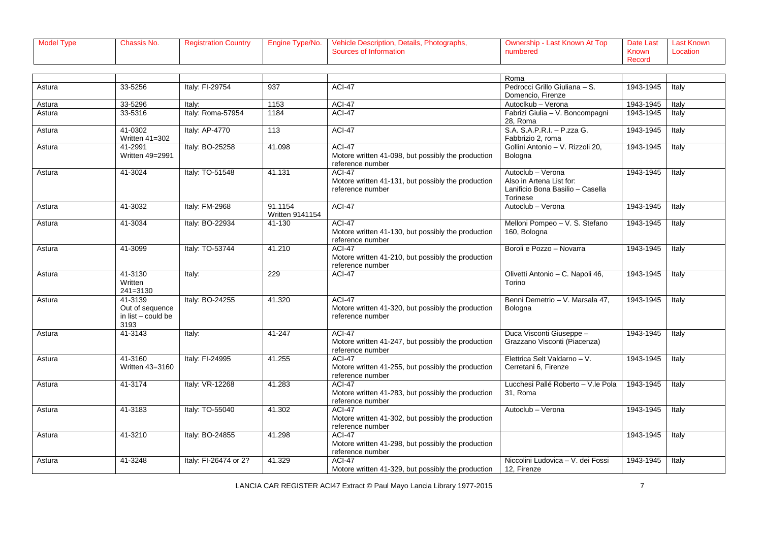| Model Type | lassis No. | registration Country | Engine Type/No. | Photographs,<br>Vehicle Description,<br>Details, F | i≅ - Last Known Au<br>Top<br>Ownership | Date Last | <b>Last Known</b> |
|------------|------------|----------------------|-----------------|----------------------------------------------------|----------------------------------------|-----------|-------------------|
|            |            |                      |                 | urces of Informatior                               | numbered                               | Known     | Locatior          |
|            |            |                      |                 |                                                    |                                        | Record    |                   |

|        |                                                          |                       |                                   |                                                                                         | Roma                                                                                          |           |       |
|--------|----------------------------------------------------------|-----------------------|-----------------------------------|-----------------------------------------------------------------------------------------|-----------------------------------------------------------------------------------------------|-----------|-------|
| Astura | 33-5256                                                  | Italy: FI-29754       | 937                               | <b>ACI-47</b>                                                                           | Pedrocci Grillo Giuliana - S.                                                                 | 1943-1945 | Italy |
|        |                                                          |                       |                                   |                                                                                         | Domencio, Firenze                                                                             |           |       |
| Astura | 33-5296                                                  | Italy:                | 1153                              | <b>ACI-47</b>                                                                           | Autoclkub - Verona                                                                            | 1943-1945 | Italy |
| Astura | 33-5316                                                  | Italy: Roma-57954     | 1184                              | $ACI-47$                                                                                | Fabrizi Giulia - V. Boncompagni<br>28, Roma                                                   | 1943-1945 | Italy |
| Astura | 41-0302<br>Written 41=302                                | Italy: AP-4770        | 113                               | <b>ACI-47</b>                                                                           | S.A. S.A.P.R.I. - P.zza G.<br>Fabbrizio 2, roma                                               | 1943-1945 | Italy |
| Astura | 41-2991<br>Written 49=2991                               | Italy: BO-25258       | 41.098                            | <b>ACI-47</b><br>Motore written 41-098, but possibly the production<br>reference number | Gollini Antonio - V. Rizzoli 20,<br>Bologna                                                   | 1943-1945 | Italy |
| Astura | 41-3024                                                  | Italy: TO-51548       | 41.131                            | $ACI-47$<br>Motore written 41-131, but possibly the production<br>reference number      | Autoclub - Verona<br>Also in Artena List for:<br>Lanificio Bona Basilio - Casella<br>Torinese | 1943-1945 | Italy |
| Astura | 41-3032                                                  | Italy: FM-2968        | 91.1154<br><b>Written 9141154</b> | <b>ACI-47</b>                                                                           | Autoclub - Verona                                                                             | 1943-1945 | Italy |
| Astura | 41-3034                                                  | Italy: BO-22934       | $41 - 130$                        | <b>ACI-47</b><br>Motore written 41-130, but possibly the production<br>reference number | Melloni Pompeo - V. S. Stefano<br>160, Bologna                                                | 1943-1945 | Italy |
| Astura | 41-3099                                                  | Italy: TO-53744       | 41.210                            | <b>ACI-47</b><br>Motore written 41-210, but possibly the production<br>reference number | Boroli e Pozzo - Novarra                                                                      | 1943-1945 | Italy |
| Astura | 41-3130<br>Written<br>$241 = 3130$                       | Italy:                | 229                               | <b>ACI-47</b>                                                                           | Olivetti Antonio - C. Napoli 46,<br>Torino                                                    | 1943-1945 | Italy |
| Astura | 41-3139<br>Out of sequence<br>in list - could be<br>3193 | Italy: BO-24255       | 41.320                            | <b>ACI-47</b><br>Motore written 41-320, but possibly the production<br>reference number | Benni Demetrio - V. Marsala 47.<br>Bologna                                                    | 1943-1945 | Italy |
| Astura | 41-3143                                                  | Italy:                | 41-247                            | <b>ACI-47</b><br>Motore written 41-247, but possibly the production<br>reference number | Duca Visconti Giuseppe -<br>Grazzano Visconti (Piacenza)                                      | 1943-1945 | Italy |
| Astura | 41-3160<br>Written 43=3160                               | Italy: FI-24995       | 41.255                            | <b>ACI-47</b><br>Motore written 41-255, but possibly the production<br>reference number | Elettrica Selt Valdarno - V.<br>Cerretani 6, Firenze                                          | 1943-1945 | Italy |
| Astura | 41-3174                                                  | Italy: VR-12268       | 41.283                            | <b>ACI-47</b><br>Motore written 41-283, but possibly the production<br>reference number | Lucchesi Pallé Roberto - V.le Pola<br>31. Roma                                                | 1943-1945 | Italy |
| Astura | 41-3183                                                  | Italy: TO-55040       | 41.302                            | <b>ACI-47</b><br>Motore written 41-302, but possibly the production<br>reference number | Autoclub - Verona                                                                             | 1943-1945 | Italy |
| Astura | 41-3210                                                  | Italy: BO-24855       | 41.298                            | <b>ACI-47</b><br>Motore written 41-298, but possibly the production<br>reference number |                                                                                               | 1943-1945 | Italy |
| Astura | 41-3248                                                  | Italy: FI-26474 or 2? | 41.329                            | <b>ACI-47</b><br>Motore written 41-329, but possibly the production                     | Niccolini Ludovica - V. dei Fossi<br>12, Firenze                                              | 1943-1945 | Italy |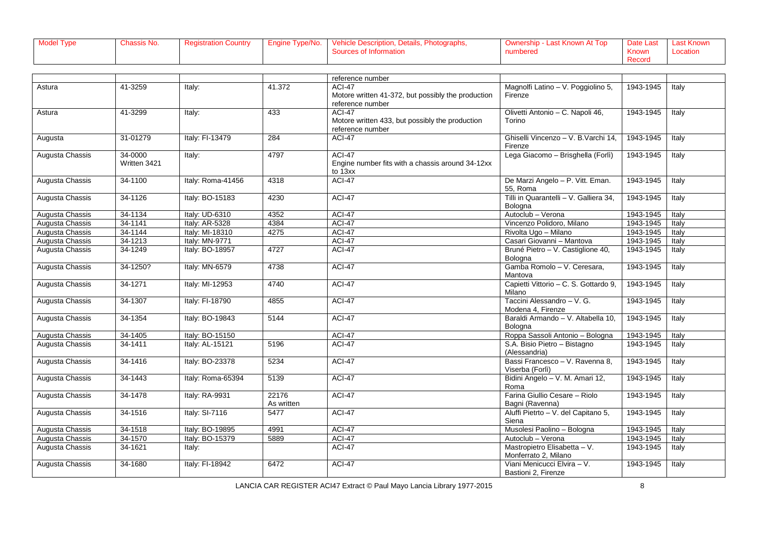| <b>Model Type</b> | assis No. | <b>Registration Country</b> | Engine Type/No. | Vehicle Description, Details, Photographs, | Last Known At Top<br>∵∼ vnership - ' ~` | Date Last    | Last Known |
|-------------------|-----------|-----------------------------|-----------------|--------------------------------------------|-----------------------------------------|--------------|------------|
|                   |           |                             |                 | <b>Trees of Information</b>                | numbered                                | <b>Known</b> | _ocation   |
|                   |           |                             |                 |                                            |                                         | Record       |            |

|                 |              |                   |            | reference number                                                       |                                                    |           |       |
|-----------------|--------------|-------------------|------------|------------------------------------------------------------------------|----------------------------------------------------|-----------|-------|
| Astura          | 41-3259      | Italy:            | 41.372     | <b>ACI-47</b>                                                          | Magnolfi Latino - V. Poggiolino 5,                 | 1943-1945 | Italy |
|                 |              |                   |            | Motore written 41-372, but possibly the production<br>reference number | Firenze                                            |           |       |
| Astura          | 41-3299      | Italy:            | 433        | <b>ACI-47</b>                                                          | Olivetti Antonio - C. Napoli 46,                   | 1943-1945 | Italy |
|                 |              |                   |            | Motore written 433, but possibly the production                        | Torino                                             |           |       |
|                 |              |                   |            | reference number                                                       |                                                    |           |       |
| Augusta         | 31-01279     | Italy: FI-13479   | 284        | <b>ACI-47</b>                                                          | Ghiselli Vincenzo - V. B. Varchi 14,               | 1943-1945 | Italy |
|                 |              |                   |            |                                                                        | Firenze                                            |           |       |
| Augusta Chassis | 34-0000      | Italy:            | 4797       | <b>ACI-47</b>                                                          | Lega Giacomo - Brisghella (Forlì)                  | 1943-1945 | Italy |
|                 | Written 3421 |                   |            | Engine number fits with a chassis around 34-12xx<br>to 13xx            |                                                    |           |       |
| Augusta Chassis | 34-1100      | Italy: Roma-41456 | 4318       | ACI-47                                                                 | De Marzi Angelo - P. Vitt. Eman.                   | 1943-1945 | Italy |
|                 |              |                   |            |                                                                        | 55. Roma                                           |           |       |
| Augusta Chassis | 34-1126      | Italy: BO-15183   | 4230       | <b>ACI-47</b>                                                          | Tilli in Quarantelli - V. Galliera 34,             | 1943-1945 | Italy |
|                 |              |                   |            |                                                                        | Bologna                                            |           |       |
| Augusta Chassis | 34-1134      | Italy: UD-6310    | 4352       | <b>ACI-47</b>                                                          | Autoclub - Verona                                  | 1943-1945 | Italy |
| Augusta Chassis | 34-1141      | Italy: AR-5328    | 4384       | ACI-47                                                                 | Vincenzo Polidoro, Milano                          | 1943-1945 | Italy |
| Augusta Chassis | 34-1144      | Italy: MI-18310   | 4275       | $ACI-47$                                                               | Rivolta Ugo - Milano                               | 1943-1945 | Italy |
| Augusta Chassis | 34-1213      | Italy: MN-9771    |            | <b>ACI-47</b>                                                          | Casari Giovanni - Mantova                          | 1943-1945 | Italy |
| Augusta Chassis | 34-1249      | Italy: BO-18957   | 4727       | $ACI-47$                                                               | Bruné Pietro - V. Castiglione 40,<br>Bologna       | 1943-1945 | Italy |
| Augusta Chassis | 34-1250?     | Italy: MN-6579    | 4738       | <b>ACI-47</b>                                                          | Gamba Romolo - V. Ceresara,<br>Mantova             | 1943-1945 | Italy |
| Augusta Chassis | 34-1271      | Italy: MI-12953   | 4740       | <b>ACI-47</b>                                                          | Capietti Vittorio - C. S. Gottardo 9,<br>Milano    | 1943-1945 | Italy |
| Augusta Chassis | 34-1307      | Italy: FI-18790   | 4855       | <b>ACI-47</b>                                                          | Taccini Alessandro - V. G.<br>Modena 4. Firenze    | 1943-1945 | Italy |
| Augusta Chassis | 34-1354      | Italy: BO-19843   | 5144       | <b>ACI-47</b>                                                          | Baraldi Armando - V. Altabella 10,<br>Bologna      | 1943-1945 | Italy |
| Augusta Chassis | 34-1405      | Italy: BO-15150   |            | <b>ACI-47</b>                                                          | Roppa Sassoli Antonio - Bologna                    | 1943-1945 | Italy |
| Augusta Chassis | 34-1411      | Italy: AL-15121   | 5196       | <b>ACI-47</b>                                                          | S.A. Bisio Pietro - Bistagno                       | 1943-1945 | Italy |
|                 |              |                   |            |                                                                        | (Alessandria)                                      |           |       |
| Augusta Chassis | 34-1416      | Italy: BO-23378   | 5234       | $ACI-47$                                                               | Bassi Francesco - V. Ravenna 8,<br>Viserba (Forlì) | 1943-1945 | Italy |
| Augusta Chassis | 34-1443      | Italy: Roma-65394 | 5139       | ACI-47                                                                 | Bidini Angelo - V. M. Amari 12,<br>Roma            | 1943-1945 | Italy |
| Augusta Chassis | 34-1478      | Italy: RA-9931    | 22176      | <b>ACI-47</b>                                                          | Farina Giullio Cesare - Riolo                      | 1943-1945 | Italy |
|                 |              |                   | As written |                                                                        | Bagni (Ravenna)                                    |           |       |
| Augusta Chassis | 34-1516      | Italy: SI-7116    | 5477       | <b>ACI-47</b>                                                          | Aluffi Pietrto - V. del Capitano 5,                | 1943-1945 | Italy |
|                 |              |                   |            |                                                                        | Siena                                              |           |       |
| Augusta Chassis | 34-1518      | Italy: BO-19895   | 4991       | <b>ACI-47</b>                                                          | Musolesi Paolino - Bologna                         | 1943-1945 | Italy |
| Augusta Chassis | 34-1570      | Italy: BO-15379   | 5889       | <b>ACI-47</b>                                                          | Autoclub - Verona                                  | 1943-1945 | Italy |
| Augusta Chassis | 34-1621      | Italy:            |            | <b>ACI-47</b>                                                          | Mastropietro Elisabetta - V.                       | 1943-1945 | Italy |
|                 |              |                   |            |                                                                        | Monferrato 2, Milano                               |           |       |
| Augusta Chassis | 34-1680      | Italy: FI-18942   | 6472       | <b>ACI-47</b>                                                          | Viani Menicucci Elvira - V.                        | 1943-1945 | Italy |
|                 |              |                   |            |                                                                        | Bastioni 2, Firenze                                |           |       |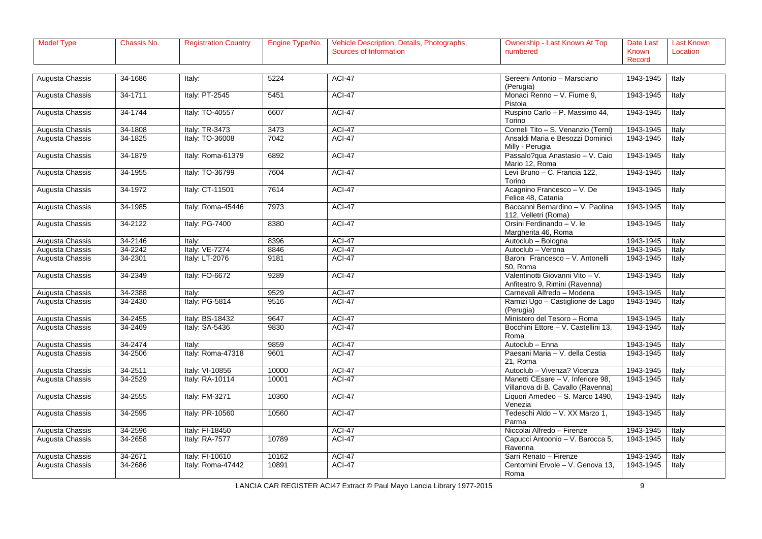| Model Type | assis No. | $\sim$ egistration Country Fig. 1. | Type/No.<br>Engine | Photographs,<br>, Details,<br><b>Vehicle Description,</b> | Last Known At Top<br>″ - wnership - ∿ | Date Last | Last Known |
|------------|-----------|------------------------------------|--------------------|-----------------------------------------------------------|---------------------------------------|-----------|------------|
|            |           |                                    |                    | Sources of Information                                    | numbered                              | Known     | Locatior   |
|            |           |                                    |                    |                                                           |                                       | Record    |            |

| Augusta Chassis | 34-1686 | Italy:            | 5224  | <b>ACI-47</b> | Sereeni Antonio - Marsciano                                            | 1943-1945 | Italy |
|-----------------|---------|-------------------|-------|---------------|------------------------------------------------------------------------|-----------|-------|
|                 |         |                   |       |               | (Perugia)                                                              |           |       |
| Augusta Chassis | 34-1711 | Italy: PT-2545    | 5451  | <b>ACI-47</b> | Monaci Renno - V. Fiume 9,<br>Pistoia                                  | 1943-1945 | Italy |
| Augusta Chassis | 34-1744 | Italy: TO-40557   | 6607  | <b>ACI-47</b> | Ruspino Carlo - P. Massimo 44,<br>Torino                               | 1943-1945 | Italy |
| Augusta Chassis | 34-1808 | Italy: TR-3473    | 3473  | <b>ACI-47</b> | Corneli Tito - S. Venanzio (Terni)                                     | 1943-1945 | Italy |
| Augusta Chassis | 34-1825 | Italy: TO-36008   | 7042  | <b>ACI-47</b> | Ansaldi Maria e Besozzi Dominici<br>Milly - Perugia                    | 1943-1945 | Italy |
| Augusta Chassis | 34-1879 | Italy: Roma-61379 | 6892  | <b>ACI-47</b> | Passalo?qua Anastasio - V. Caio<br>Mario 12, Roma                      | 1943-1945 | Italy |
| Augusta Chassis | 34-1955 | Italy: TO-36799   | 7604  | <b>ACI-47</b> | Levi Bruno - C. Francia 122,<br>Torino                                 | 1943-1945 | Italy |
| Augusta Chassis | 34-1972 | Italy: CT-11501   | 7614  | ACI-47        | Acagnino Francesco - V. De<br>Felice 48, Catania                       | 1943-1945 | Italy |
| Augusta Chassis | 34-1985 | Italy: Roma-45446 | 7973  | <b>ACI-47</b> | Baccanni Bernardino - V. Paolina<br>112, Velletri (Roma)               | 1943-1945 | Italy |
| Augusta Chassis | 34-2122 | Italy: PG-7400    | 8380  | <b>ACI-47</b> | Orsini Ferdinando - V. le<br>Margherita 46, Roma                       | 1943-1945 | Italy |
| Augusta Chassis | 34-2146 | Italy:            | 8396  | ACI-47        | Autoclub - Bologna                                                     | 1943-1945 | Italy |
| Augusta Chassis | 34-2242 | Italy: VE-7274    | 8846  | <b>ACI-47</b> | Autoclub - Verona                                                      | 1943-1945 | Italy |
| Augusta Chassis | 34-2301 | Italy: LT-2076    | 9181  | <b>ACI-47</b> | Baroni Francesco - V. Antonelli<br>50, Roma                            | 1943-1945 | Italy |
| Augusta Chassis | 34-2349 | Italy: FO-6672    | 9289  | <b>ACI-47</b> | Valentinotti Giovanni Vito - V.<br>Anfiteatro 9, Rimini (Ravenna)      | 1943-1945 | Italy |
| Augusta Chassis | 34-2388 | Italy:            | 9529  | <b>ACI-47</b> | Carnevali Alfredo - Modena                                             | 1943-1945 | Italy |
| Augusta Chassis | 34-2430 | Italy: PG-5814    | 9516  | <b>ACI-47</b> | Ramizi Ugo - Castiglione de Lago<br>(Perugia)                          | 1943-1945 | Italy |
| Augusta Chassis | 34-2455 | Italv: BS-18432   | 9647  | <b>ACI-47</b> | Ministero del Tesoro - Roma                                            | 1943-1945 | Italy |
| Augusta Chassis | 34-2469 | Italy: SA-5436    | 9830  | <b>ACI-47</b> | Bocchini Ettore - V. Castellini 13,<br>Roma                            | 1943-1945 | Italy |
| Augusta Chassis | 34-2474 | Italy:            | 9859  | ACI-47        | Autoclub - Enna                                                        | 1943-1945 | Italy |
| Augusta Chassis | 34-2506 | Italy: Roma-47318 | 9601  | <b>ACI-47</b> | Paesani Maria - V. della Cestia<br>21, Roma                            | 1943-1945 | Italy |
| Augusta Chassis | 34-2511 | Italy: VI-10856   | 10000 | <b>ACI-47</b> | Autoclub - Vivenza? Vicenza                                            | 1943-1945 | Italy |
| Augusta Chassis | 34-2529 | Italy: RA-10114   | 10001 | <b>ACI-47</b> | Manetti CEsare - V. Inferiore 98,<br>Villanova di B. Cavallo (Ravenna) | 1943-1945 | Italy |
| Augusta Chassis | 34-2555 | Italy: FM-3271    | 10360 | <b>ACI-47</b> | Liquori Amedeo - S. Marco 1490,<br>Venezia                             | 1943-1945 | Italy |
| Augusta Chassis | 34-2595 | Italy: PR-10560   | 10560 | <b>ACI-47</b> | Tedeschi Aldo - V. XX Marzo 1,<br>Parma                                | 1943-1945 | Italy |
| Augusta Chassis | 34-2596 | Italy: FI-18450   |       | ACI-47        | Niccolai Alfredo - Firenze                                             | 1943-1945 | Italy |
| Augusta Chassis | 34-2658 | Italy: RA-7577    | 10789 | <b>ACI-47</b> | Capucci Antoonio - V. Barocca 5,<br>Ravenna                            | 1943-1945 | Italy |
| Augusta Chassis | 34-2671 | Italy: FI-10610   | 10162 | ACI-47        | Sarri Renato - Firenze                                                 | 1943-1945 | Italy |
| Augusta Chassis | 34-2686 | Italy: Roma-47442 | 10891 | <b>ACI-47</b> | Centomini Ervole - V. Genova 13,<br>Roma                               | 1943-1945 | Italy |

LANCIA CAR REGISTER ACI47 Extract © Paul Mayo Lancia Library 1977-2015 **Particle 19** 9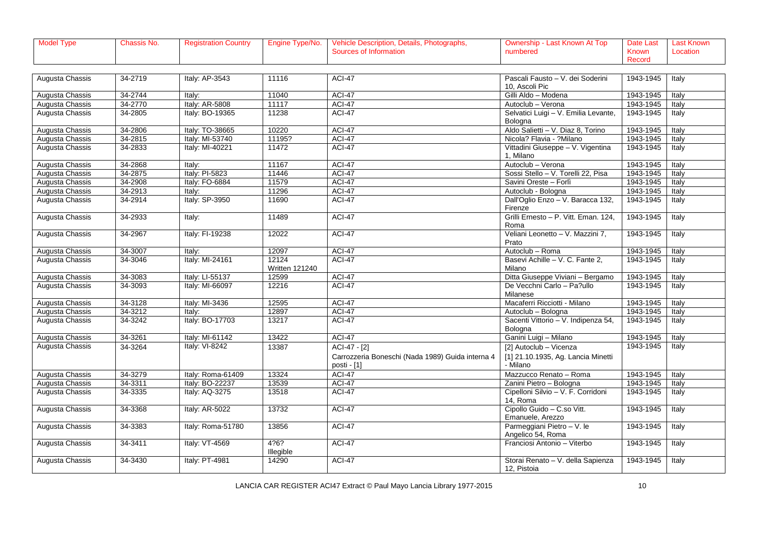| Model Type∡ | ำassis No. | ੋ੧gistration Country __ | Engine Type/No. | N. Details, Photographs,<br>Description.<br>venicie | Last Known At Top | Last<br>Date . | Last Known |
|-------------|------------|-------------------------|-----------------|-----------------------------------------------------|-------------------|----------------|------------|
|             |            |                         |                 | Information<br>urces of                             | numbered          | <b>Known</b>   | Locatior   |
|             |            |                         |                 |                                                     |                   | Record         |            |

| Augusta Chassis | 34-2719 | Italy: AP-3543    | 11116                          | <b>ACI-47</b>                                                   | Pascali Fausto - V. dei Soderini<br>10, Ascoli Pic | 1943-1945 | Italy |
|-----------------|---------|-------------------|--------------------------------|-----------------------------------------------------------------|----------------------------------------------------|-----------|-------|
| Augusta Chassis | 34-2744 | ltalv:            | 11040                          | <b>ACI-47</b>                                                   | Gilli Aldo - Modena                                | 1943-1945 | Italy |
| Augusta Chassis | 34-2770 | Italy: AR-5808    | 11117                          | <b>ACI-47</b>                                                   | Autoclub - Verona                                  | 1943-1945 | Italy |
| Augusta Chassis | 34-2805 | Italy: BO-19365   | 11238                          | ACI-47                                                          | Selvatici Luigi - V. Emilia Levante,               | 1943-1945 | Italy |
|                 |         |                   |                                |                                                                 | Bologna                                            |           |       |
| Augusta Chassis | 34-2806 | Italy: TO-38665   | 10220                          | <b>ACI-47</b>                                                   | Aldo Salietti - V. Diaz 8, Torino                  | 1943-1945 | Italy |
| Augusta Chassis | 34-2815 | Italy: MI-53740   | 11195?                         | <b>ACI-47</b>                                                   | Nicola? Flavia - ?Milano                           | 1943-1945 | Italy |
| Augusta Chassis | 34-2833 | Italy: MI-40221   | 11472                          | <b>ACI-47</b>                                                   | Vittadini Giuseppe - V. Vigentina<br>1. Milano     | 1943-1945 | Italy |
| Augusta Chassis | 34-2868 | Italv:            | 11167                          | ACI-47                                                          | Autoclub - Verona                                  | 1943-1945 | Italy |
| Augusta Chassis | 34-2875 | Italy: PI-5823    | 11446                          | <b>ACI-47</b>                                                   | Sossi Stello - V. Torelli 22, Pisa                 | 1943-1945 | Italy |
| Augusta Chassis | 34-2908 | Italy: FO-6884    | 11579                          | <b>ACI-47</b>                                                   | Savini Oreste - Forlì                              | 1943-1945 | Italy |
| Augusta Chassis | 34-2913 | Italv:            | 11296                          | <b>ACI-47</b>                                                   | Autoclub - Bologna                                 | 1943-1945 | Italy |
| Augusta Chassis | 34-2914 | Italy: SP-3950    | 11690                          | ACI-47                                                          | Dall'Oglio Enzo - V. Baracca 132,<br>Firenze       | 1943-1945 | Italy |
| Augusta Chassis | 34-2933 | Italy:            | 11489                          | <b>ACI-47</b>                                                   | Grilli Ernesto - P. Vitt. Eman. 124,<br>Roma       | 1943-1945 | Italy |
| Augusta Chassis | 34-2967 | Italy: FI-19238   | 12022                          | <b>ACI-47</b>                                                   | Veliani Leonetto - V. Mazzini 7,<br>Prato          | 1943-1945 | Italy |
| Augusta Chassis | 34-3007 | Italv:            | 12097                          | <b>ACI-47</b>                                                   | Autoclub - Roma                                    | 1943-1945 | Italy |
| Augusta Chassis | 34-3046 | Italy: MI-24161   | 12124<br><b>Written 121240</b> | ACI-47                                                          | Basevi Achille - V. C. Fante 2,<br>Milano          | 1943-1945 | Italy |
| Augusta Chassis | 34-3083 | Italy: LI-55137   | 12599                          | <b>ACI-47</b>                                                   | Ditta Giuseppe Viviani - Bergamo                   | 1943-1945 | Italy |
| Augusta Chassis | 34-3093 | Italy: MI-66097   | 12216                          | ACI-47                                                          | De Vecchni Carlo - Pa?ullo<br>Milanese             | 1943-1945 | Italy |
| Augusta Chassis | 34-3128 | Italy: MI-3436    | 12595                          | ACI-47                                                          | Macaferri Ricciotti - Milano                       | 1943-1945 | Italy |
| Augusta Chassis | 34-3212 | Italv:            | 12897                          | <b>ACI-47</b>                                                   | Autoclub - Bologna                                 | 1943-1945 | Italy |
| Augusta Chassis | 34-3242 | Italy: BO-17703   | 13217                          | ACI-47                                                          | Sacenti Vittorio - V. Indipenza 54,                | 1943-1945 | Italy |
|                 |         |                   |                                |                                                                 | Bologna                                            |           |       |
| Augusta Chassis | 34-3261 | Italy: MI-61142   | 13422                          | <b>ACI-47</b>                                                   | Ganini Luigi - Milano                              | 1943-1945 | Italy |
| Augusta Chassis | 34-3264 | Italy: VI-8242    | 13387                          | ACI-47 - [2]                                                    | [2] Autoclub - Vicenza                             | 1943-1945 | Italy |
|                 |         |                   |                                | Carrozzeria Boneschi (Nada 1989) Guida interna 4<br>posti - [1] | [1] 21.10.1935, Ag. Lancia Minetti<br>- Milano     |           |       |
| Augusta Chassis | 34-3279 | Italy: Roma-61409 | 13324                          | <b>ACI-47</b>                                                   | Mazzucco Renato - Roma                             | 1943-1945 | Italy |
| Augusta Chassis | 34-3311 | Italy: BO-22237   | 13539                          | ACI-47                                                          | Zanini Pietro - Bologna                            | 1943-1945 | Italy |
| Augusta Chassis | 34-3335 | Italy: AQ-3275    | 13518                          | ACI-47                                                          | Cipelloni Silvio - V. F. Corridoni<br>14, Roma     | 1943-1945 | Italy |
| Augusta Chassis | 34-3368 | Italy: AR-5022    | 13732                          | <b>ACI-47</b>                                                   | Cipollo Guido - C.so Vitt.<br>Emanuele, Arezzo     | 1943-1945 | Italy |
| Augusta Chassis | 34-3383 | Italy: Roma-51780 | 13856                          | ACI-47                                                          | Parmeggiani Pietro - V. le<br>Angelico 54, Roma    | 1943-1945 | Italy |
| Augusta Chassis | 34-3411 | Italy: VT-4569    | 4?6?<br>Illegible              | <b>ACI-47</b>                                                   | Franciosi Antonio - Viterbo                        | 1943-1945 | Italy |
| Augusta Chassis | 34-3430 | Italy: PT-4981    | 14290                          | ACI-47                                                          | Storai Renato - V. della Sapienza<br>12, Pistoia   | 1943-1945 | Italy |